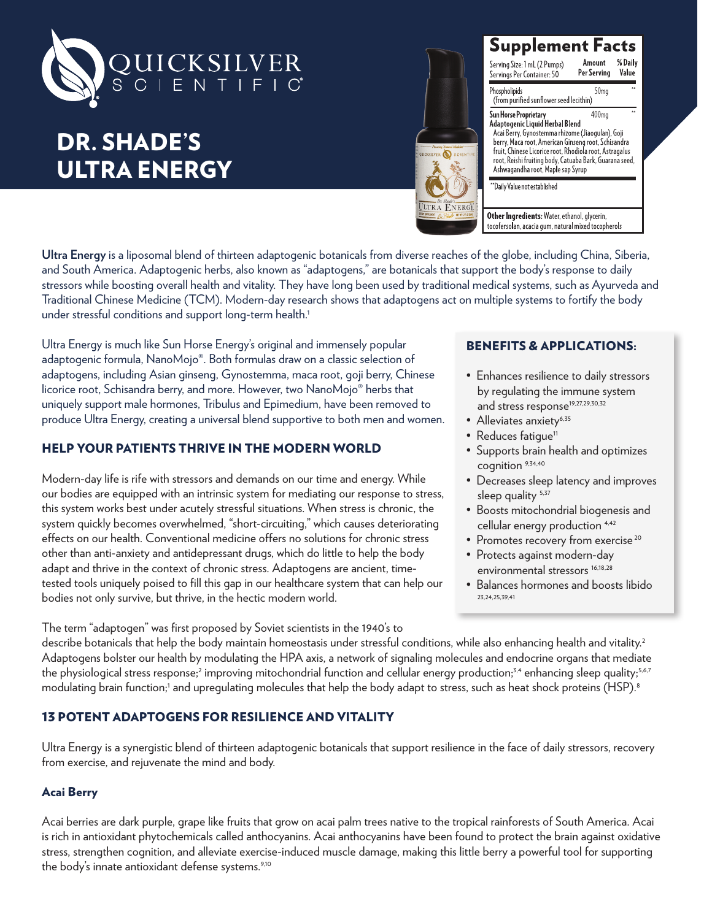

# DR. SHADE'S ULTRA ENERGY



Supplement Facts %Daily Amount Serving Size: 1 mL (2 Pumps) Per Serving Servings Per Container: 50 Value Phospholipids 50<sub>ma</sub>

(from purified sunflower seed lecithin) -<br>Sun Horse Proprietary<br>Adaptogenic Liquid Herbal Blend  $400<sub>me</sub>$ Acai Berry, Gynostemma rhizome (Jiaogulan), Goji<br>berry, Maca root, American Ginseng root, Schisandra<br>fruit, Chinese Licorice root, Rhodiola root, Astragalus ran, emmese Eleonee 1001, Miodola Toot, Astrogalas<br>root, Reishi fruiting body, Catuaba Bark, Guarana seed,<br>Ashwagandha root, Maple sap Syrup

\*Daily Value not established

Other Ingredients: Water, ethanol, glycerin, tocofersolan, acacia qum, natural mixed tocopherols

**Ultra Energy** is a liposomal blend of thirteen adaptogenic botanicals from diverse reaches of the globe, including China, Siberia, and South America. Adaptogenic herbs, also known as "adaptogens," are botanicals that support the body's response to daily stressors while boosting overall health and vitality. They have long been used by traditional medical systems, such as Ayurveda and Traditional Chinese Medicine (TCM). Modern-day research shows that adaptogens act on multiple systems to fortify the body under stressful conditions and support long-term health.<sup>1</sup>

Ultra Energy is much like Sun Horse Energy's original and immensely popular adaptogenic formula, NanoMojo®. Both formulas draw on a classic selection of adaptogens, including Asian ginseng, Gynostemma, maca root, goji berry, Chinese licorice root, Schisandra berry, and more. However, two NanoMojo® herbs that uniquely support male hormones, Tribulus and Epimedium, have been removed to produce Ultra Energy, creating a universal blend supportive to both men and women.

## HELP YOUR PATIENTS THRIVE IN THE MODERN WORLD

Modern-day life is rife with stressors and demands on our time and energy. While our bodies are equipped with an intrinsic system for mediating our response to stress, this system works best under acutely stressful situations. When stress is chronic, the system quickly becomes overwhelmed, "short-circuiting," which causes deteriorating effects on our health. Conventional medicine offers no solutions for chronic stress other than anti-anxiety and antidepressant drugs, which do little to help the body adapt and thrive in the context of chronic stress. Adaptogens are ancient, timetested tools uniquely poised to fill this gap in our healthcare system that can help our bodies not only survive, but thrive, in the hectic modern world.

# BENEFITS & APPLICATIONS:

- Enhances resilience to daily stressors by regulating the immune system and stress response<sup>19,27,29,30,32</sup>
- Alleviates anxiety<sup>6,35</sup>
- Reduces fatique<sup>11</sup>
- Supports brain health and optimizes cognition 9,34,40
- Decreases sleep latency and improves sleep quality <sup>5,37</sup>
- Boosts mitochondrial biogenesis and cellular energy production 4,42
- Promotes recovery from exercise<sup>20</sup>
- Protects against modern-day environmental stressors<sup>16,18,28</sup>
- Balances hormones and boosts libido 23,24,25,39,41

The term "adaptogen" was first proposed by Soviet scientists in the 1940's to

describe botanicals that help the body maintain homeostasis under stressful conditions, while also enhancing health and vitality.<sup>2</sup> Adaptogens bolster our health by modulating the HPA axis, a network of signaling molecules and endocrine organs that mediate the physiological stress response;<sup>2</sup> improving mitochondrial function and cellular energy production;<sup>3,4</sup> enhancing sleep quality;<sup>5,6,7</sup> modulating brain function;' and upregulating molecules that help the body adapt to stress, such as heat shock proteins (HSP).8

# 13 POTENT ADAPTOGENS FOR RESILIENCE AND VITALITY

Ultra Energy is a synergistic blend of thirteen adaptogenic botanicals that support resilience in the face of daily stressors, recovery from exercise, and rejuvenate the mind and body.

## Acai Berry

Acai berries are dark purple, grape like fruits that grow on acai palm trees native to the tropical rainforests of South America. Acai is rich in antioxidant phytochemicals called anthocyanins. Acai anthocyanins have been found to protect the brain against oxidative stress, strengthen cognition, and alleviate exercise-induced muscle damage, making this little berry a powerful tool for supporting the body's innate antioxidant defense systems.<sup>9,10</sup>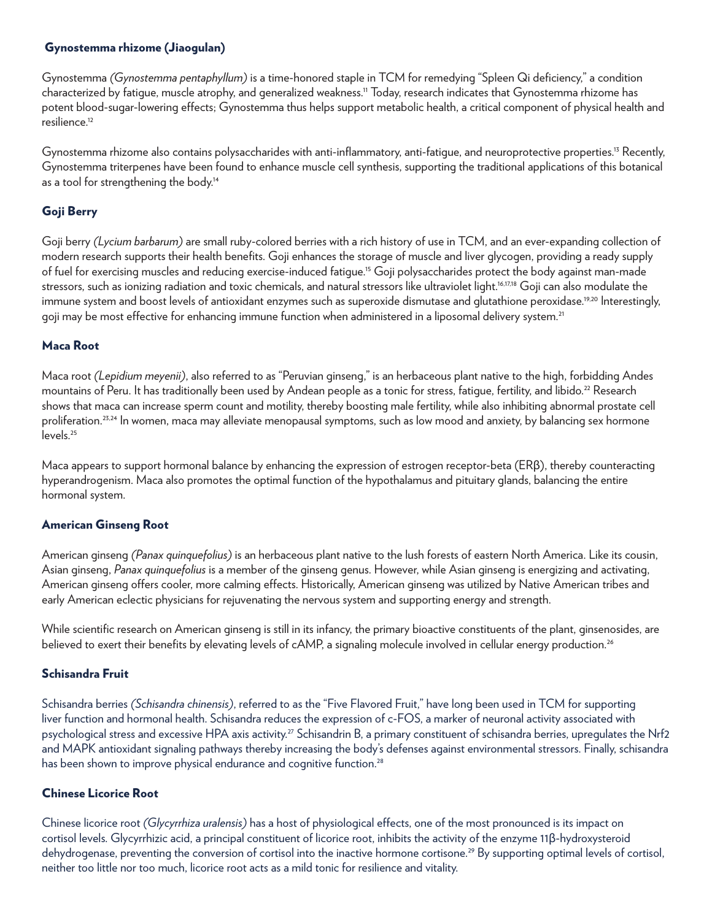#### Gynostemma rhizome (Jiaogulan)

Gynostemma *(Gynostemma pentaphyllum)* is a time-honored staple in TCM for remedying "Spleen Qi deficiency," a condition characterized by fatigue, muscle atrophy, and generalized weakness.11 Today, research indicates that Gynostemma rhizome has potent blood-sugar-lowering effects; Gynostemma thus helps support metabolic health, a critical component of physical health and resilience.12

Gynostemma rhizome also contains polysaccharides with anti-inflammatory, anti-fatique, and neuroprotective properties.<sup>13</sup> Recently, Gynostemma triterpenes have been found to enhance muscle cell synthesis, supporting the traditional applications of this botanical as a tool for strengthening the body.<sup>14</sup>

# Goji Berry

Goji berry *(Lycium barbarum)* are small ruby-colored berries with a rich history of use in TCM, and an ever-expanding collection of modern research supports their health benefits. Goji enhances the storage of muscle and liver glycogen, providing a ready supply of fuel for exercising muscles and reducing exercise-induced fatigue.15 Goji polysaccharides protect the body against man-made stressors, such as ionizing radiation and toxic chemicals, and natural stressors like ultraviolet light.<sup>16,17,18</sup> Goji can also modulate the immune system and boost levels of antioxidant enzymes such as superoxide dismutase and qlutathione peroxidase.<sup>19,20</sup> Interestingly, goji may be most effective for enhancing immune function when administered in a liposomal delivery system.<sup>21</sup>

## Maca Root

Maca root *(Lepidium meyenii)*, also referred to as "Peruvian ginseng," is an herbaceous plant native to the high, forbidding Andes mountains of Peru. It has traditionally been used by Andean people as a tonic for stress, fatique, fertility, and libido.<sup>22</sup> Research shows that maca can increase sperm count and motility, thereby boosting male fertility, while also inhibiting abnormal prostate cell proliferation.<sup>23,24</sup> In women, maca may alleviate menopausal symptoms, such as low mood and anxiety, by balancing sex hormone levels.<sup>25</sup>

Maca appears to support hormonal balance by enhancing the expression of estrogen receptor-beta (ERβ), thereby counteracting hyperandrogenism. Maca also promotes the optimal function of the hypothalamus and pituitary glands, balancing the entire hormonal system.

#### American Ginseng Root

American ginseng *(Panax quinquefolius)* is an herbaceous plant native to the lush forests of eastern North America. Like its cousin, Asian ginseng, *Panax quinquefolius* is a member of the ginseng genus. However, while Asian ginseng is energizing and activating, American ginseng offers cooler, more calming effects. Historically, American ginseng was utilized by Native American tribes and early American eclectic physicians for rejuvenating the nervous system and supporting energy and strength.

While scientific research on American ginseng is still in its infancy, the primary bioactive constituents of the plant, ginsenosides, are believed to exert their benefits by elevating levels of cAMP, a signaling molecule involved in cellular energy production.<sup>26</sup>

## Schisandra Fruit

Schisandra berries *(Schisandra chinensis)*, referred to as the "Five Flavored Fruit," have long been used in TCM for supporting liver function and hormonal health. Schisandra reduces the expression of c-FOS, a marker of neuronal activity associated with psychological stress and excessive HPA axis activity.<sup>27</sup> Schisandrin B, a primary constituent of schisandra berries, upregulates the Nrf2 and MAPK antioxidant signaling pathways thereby increasing the body's defenses against environmental stressors. Finally, schisandra has been shown to improve physical endurance and cognitive function.<sup>28</sup>

#### Chinese Licorice Root

Chinese licorice root *(Glycyrrhiza uralensis)* has a host of physiological effects, one of the most pronounced is its impact on cortisol levels. Glycyrrhizic acid, a principal constituent of licorice root, inhibits the activity of the enzyme 11β-hydroxysteroid dehydrogenase, preventing the conversion of cortisol into the inactive hormone cortisone.<sup>29</sup> By supporting optimal levels of cortisol, neither too little nor too much, licorice root acts as a mild tonic for resilience and vitality.